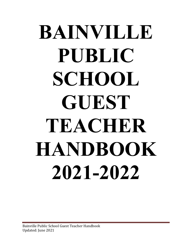# **BAINVILLE PUBLIC SCHOOL GUEST TEACHER HANDBOOK 2021-2022**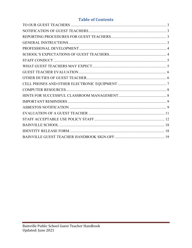# **Table of Contents**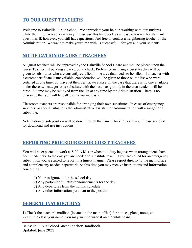# <span id="page-2-0"></span>**TO OUR GUEST TEACHERS**

Welcome to Bainville Public School! We appreciate your help in working with our students while their regular teacher is away. Please use this handbook as an easy reference for standard questions. If, however, you still have questions, feel free to contact a neighboring teacher or the Administration. We want to make your time with us successful—for you and your students.

# <span id="page-2-1"></span>**NOTIFICATION OF GUEST TEACHERS**

All guest teachers will be approved by the Bainville School Board and will be placed upon the Guest Teacher list pending a background check. Preference in hiring a guest teacher will be given to substitutes who are currently certified in the area that needs to be filled. If a teacher with a current certificate is unavailable, consideration will be given to those on the list who were certified at one time, but have let their certificate elapse. In the case that there is no one available under these two categories, a substitute with the best background, in the area needed, will be hired. A name may be removed from the list at any time by the Administration. There is no guarantee that you will be called on a routine basis.

Classroom teachers are responsible for arranging their own substitutes. In cases of emergency, sickness, or special situations the administrative assistant or Administration will arrange for a substitute.

Notification of sub position will be done through the Time Clock Plus sub app. Please see clerk for download and use instructions.

# <span id="page-2-2"></span>**REPORTING PROCEDURES FOR GUEST TEACHERS**

You will be expected to work at 8:00 A.M. (or when told duty begins) when arrangements have been made prior to the day you are needed to substitute teach. If you are called for an emergency substitution you are asked to report in a timely manner. Please report directly to the main office and complete any needed paperwork. At this time you may receive instructions and information concerning:

- 1) Your assignment for the school day.
- 2) Any particular bulletins/announcements for the day.
- 3) Any departures from the normal schedule.
- 4) Any other information pertinent to the position.

# <span id="page-2-3"></span>**GENERAL INSTRUCTIONS**

1) Check the teacher's mailbox (located in the main office) for notices, plans, notes, etc. 2) Tell the class your name; you may wish to write it on the whiteboard.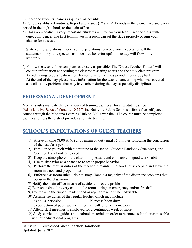3) Learn the students' names as quickly as possible.

4) Follow established routines. Report attendance  $(1<sup>st</sup>$  and  $5<sup>th</sup>$  Periods in the elementary and every period in the high school) to the main office.

5) Classroom control is very important. Students will follow your lead. Face the class with quiet confidence. The first ten minutes in a room can set the stage properly or ruin your chance for success.

 State your expectations; model your expectations; practice your expectations. If the students know your expectations in desired behavior upfront the day will flow more smoothly.

6) Follow the teacher's lesson plans as closely as possible, The "Guest Teacher Folder" will contain information concerning the classroom seating charts and the daily class program. Avoid having to be a "baby-sitter" by not turning the class period into a study hall. At the end of the day please leave information for the teacher concerning what was covered as well as any problems that may have arisen during the day (especially discipline).

# <span id="page-3-0"></span>**PROFESSIONAL DEVELOPMENT**

Montana rules mandate three (3) hours of training each year for substitute teachers ([Administrative Rules of Montana 10.55.716\)](http://www.mtrules.org/gateway/ruleno.asp?RN=10.55.716). Bainville Public Schools offers a free self-paced course through the Montana Learning Hub on OPI's website. The course must be completed each year unless the district provides alternate training.

# <span id="page-3-1"></span>**SCHOOL'S EXPECTATIONS OF GUEST TEACHERS**

- 1) Arrive on time (8:00 A.M.) and remain on duty until 15 minutes following the conclusion of the last class period.
- 2) Familiarize yourself with the routine of the school, Student Handbook (enclosed), and Certified Handbook (enclosed).
- 3) Keep the atmosphere of the classroom pleasant and conducive to good work habits.
- 4) Use misbehavior as a chance to re-teach proper behavior.
- 5) Perform the regular duties of the teacher in maintaining good housekeeping and leave the room in a neat and proper order
- 6) Enforce classroom rules—do not stray. Handle a majority of the discipline problems that occur in the classroom.
- 7) Notify the main office in case of accident or severe problem.
- 8) Be responsible for every child in the room during an emergency and/or fire drill.
- 9) Confer with the Superintendent/and or regular teacher when advisable.
- 10) Assume the duties of the regular teacher which may include:
	- a) hall supervision b) recess/noon duty
	- c) correction of pupil work (limited) d) collection of homework
- 11) Attend staff meetings if employed for a continuous week or more.
- 12) Study curriculum guides and textbook materials in order to become as familiar as possible with our educational programs.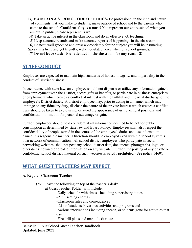- 13) **MAINTAIN A STRONG CODE OF ETHICS** Be professional in the kind and nature of comments that you make to students; make outside of school and to the parents who come to the school. **Confidentiality is a must!** You represent our entire school when you are out in public; please represent us well.
- 14) Take an active interest in the classroom and do an effective job teaching.
- 15) Keep accurate records and make accurate reports of happenings in the classroom.

 16) Be neat, well groomed and dress appropriately for the subject you will be instructing. Speak in a firm, and yet friendly, well-modulated voice when on school grounds.

<span id="page-4-0"></span>17) **Do not leave students unattended in the classroom for any reason!!!**

# **STAFF CONDUCT**

Employees are expected to maintain high standards of honest, integrity, and impartiality in the conduct of District business.

In accordance with state law, an employee should not dispense or utilize any information gained from employment with the District, accept gifts or benefits, or participate in business enterprises or employment which creates a conflict of interest with the faithful and impartial discharge of the employee's District duties. A district employee may, prior to acting in a manner which may impinge on any fiduciary duty, disclose the nature of the private interest which creates a conflict. Care should be taken to avoid using, or avoid the appearance of using, official positions and confidential information for personal advantage or gain.

Further, employees should hold confidential all information deemed to be not for public consumption as determined by state law and Board Policy. Employees shall also respect the confidentiality of people served in the course of the employee's duties and use information gained in a responsible manner. Discretion should be employed even with the school system's own network of communication. All school district employees who participate in social networking websites, shall not post any school district date, documents, photographs, logo, or other district owned or created information on any website. Further, the posting of any private or confidential school district material on such websites is strictly prohibited. (See policy 5460).

# <span id="page-4-1"></span>**WHAT GUEST TEACHERS MAY EXPECT**

#### **A. Regular Classroom Teacher**

- 1) Will leave the following on top of the teacher's desk:
	- a) Guest Teacher Folder- will include:
		- -Daily schedule with times including supervisory duties
		- -Pupil seating chart(s)
		- -Classroom rules and consequences
		- List of students in various activities and programs and
		- various interventions including speech, or students gone for activities that day.
		- -Fire drill plans and map of exit route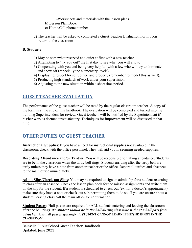-Worksheets and materials with the lesson plans

- b) Lesson Plan Book
- c) Home/Cell phone number
- 2) The teacher will be asked to completed a Guest Teacher Evaluation Form upon return to the classroom

#### **B. Students**

- 1) May be somewhat reserved and quiet at first with a new teacher.
- 2) Attempting to "try you out" the first day to see what you will allow.
- 3) Cooperating with you and being very helpful, with a few who will try to dominate and show off (especially the elementary levels).
- 4) Displaying respect for self, other, and property (remember to model this as well).
- 5) Producing high standards of work under your supervision.
- 6) Adjusting to the new situation within a short time period.

# <span id="page-5-0"></span>**GUEST TEACHER EVALUATION**

The performance of the guest teacher will be rated by the regular classroom teacher. A copy of the form is at the end of this handbook. The evaluation will be completed and turned into the building Superintendent for review. Guest teachers will be notified by the Superintendent if his/her work is deemed unsatisfactory. Techniques for improvement will be discussed at that time.

# <span id="page-5-1"></span>**OTHER DUTIES OF GUEST TEACHER**

**Instructional Supplies**: If you have a need for instructional supplies not available in the classroom, check with the office personnel. They will aid you in securing needed supplies.

**Recording Attendance and/or Tardies**: You will be responsible for taking attendance. Students are to be in the classroom when the tardy bell rings. Students arriving after the tardy bell are tardy unless they have a note from another teacher or the office. Report all tardies and absences to the main office immediately.

**Admit Slips/Check-out Slips**: You may be required to sign an admit slip for a student returning to class after an absence. Check the lesson plan book for the missed assignments and write them on the slip for the student. If a student is scheduled to check-out (ex. for a doctor's appointment), make sure they have a note or check-out slip permitting them to do so. If you are unsure about a student leaving class call the main office for confirmation.

**Student Passes:** Hall passes are required for ALL students entering and leaving the classroom after the bell rings. *No student should be in the hall during class time without a hall pass from a teacher.* Use hall passes sparingly. **A STUDENT CANNOT LEARN IF HE/SHE IS NOT IN THE CLASSROOM.**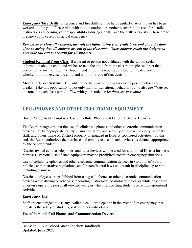**Emergency/Fire Drills**: Emergency and fire drills will be held regularly. A drill plan has been worked out for you. Please visit with administration, or another teacher in the area for detailed instructions concerning your responsibilities during a drill. Take the drills seriously. These are to prepare you in case of an actual emergency.

*Remember to close all windows, turn-off the lights, bring your grade book and close the door after ensuring that all students are out of the classroom. Once students reach the designated area take roll call to account for all students.* 

**Student Removal from Class**: If a parent or person not affiliated with the school seeks information about a child and wishes to take the child from the classroom, please direct that person to the main office. The Superintendent will then be responsible for the decision of whether or not to excuse the child and will notify you of that decision.

**Meet and Greet System:** Be visible in the hallway or doorways during passing classes or breaks. Take this opportunity to not only monitor transitional behavior; but to also *positively* set the tone for each class period. *Visit* with your students; *let them see you smile*.

# <span id="page-6-0"></span>**CELL PHONES AND OTHER ELECTRONIC EQUIPMENT**

#### Board Policy 5630: Employee Use of Cellular Phones and Other Electronic Devices

The Board recognizes that the use of cellular telephones and other electronic communication devices may be appropriate to help ensure the safety and security of District property, students, staff, and others while on District property or engaged in District-sponsored activities. To this end, the Board authorizes the purchase and employee use of such devices, as deemed appropriate by the Superintendent.

District-owned cellular telephones and other devices will be used for authorized District business purposes. Personal use of such equipment may be prohibited except in emergency situations.

Use of cellular telephones and other electronic communication devices in violation of Board policies, administrative regulations, and/or state/federal laws will result in discipline up to and including dismissal.

District employees are prohibited from using cell phones or other electronic communication devices while driving or otherwise operating District-owned motor vehicles, or while driving or otherwise operating personally-owned vehicles when transporting students on school-sponsored activities.

#### **Emergency Use**

Staff are encouraged to use any available cellular telephone in the event of an emergency that threatens the safety of students, staff or other individuals.

#### **Use of Personal Cell Phones and Communication Devices**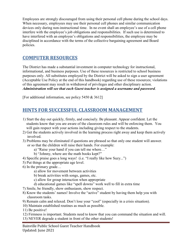Employees are strongly discouraged from using their personal cell phone during the school days. When necessary, employees may use their personal cell phones and similar communication devices only during non-instructional time. In no event shall an employee's use of a cell phone interfere with the employee's job obligations and responsibilities. If such use is determined to have interfered with an employee's obligations and responsibilities, the employee may be disciplined in accordance with the terms of the collective bargaining agreement and Board policies.

# <span id="page-7-0"></span>**COMPUTER RESOURCES**

The District has made a substantial investment in computer technology for instructional, informational, and business purposes. Use of these resources is restricted to school business purposes only. All substitutes employed by the District will be asked to sign a user agreement (Acceptable Use Policy at the end of this handbook) regarding use of these resources; violations of this agreement may result in withdrawal of privileges and other disciplinary action. *Administration will see that each Guest teacher is assigned a username and password*.

<span id="page-7-1"></span>[For additional information, see policy 5450 & 3612]

# **HINTS FOR SUCCESSFUL CLASSROOM MANAGEMENT**

- 1) Start the day out quickly, firmly, and concisely. Be pleasant. Appear confident. Let the students know that you are aware of the classroom rules and will be enforcing them. You will gain respect with your actions including giving respect to the students.
- 2) Get the students actively involved in the learning process right away and keep them actively involved.
- 3) Problems may be eliminated if questions are phrased so that only one student will answer. or so that the children will raise their hands. For example:
	- a) "Raise your hand if you can tell me where…"
	- b) "Johnny, where are the math books kept?"
- 4) Specific praise goes a long ways! (i.e. "I really like how Suzy...")
- 5) Put things at the appropriate age level.
- 6) In the primary grade…
	- a) allow for movement between activities
	- b) break activities with songs, games, etc.
	- c) allow for group interaction when appropriate
	- d) educational games like "spell downs" work well to fill in extra time
- 7) Smile, be friendly, show enthusiasm, show respect.
- 8) Know the students' names! Involve the "active" student by having them help you with classroom tasks.
- 9) Remain calm and relaxed. Don't lose your "cool" (especially in a crisis situation).
- 10) Maintain established routines as much as possible.
- 11) Be positive!
- 12) Firmness is important. Students need to know that you can command the situation and will.
- 13) NEVER degrade a student in front of the other students!

Bainville Public School Guest Teacher Handbook Updated: June 2021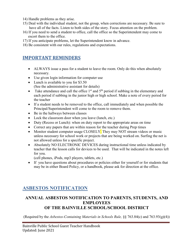- 14) Handle problems as they arise.
- 15) Deal with the individual student, not the group, when corrections are necessary. Be sure to have all of the facts. Listen to both sides of the story. Focus attention on the problem.
- 16) If you need to send a student to office, call the office so the Superintendent may come to escort them to the office.
- 17) If you anticipate problems, let the Superintendent know in advance.
- <span id="page-8-0"></span>18) Be consistent with our rules, regulations and expectations.

# **IMPORTANT REMINDERS**

- ALWAYS issue a pass for a student to leave the room. Only do this when absolutely necessary.
- Use given login information for computer use
- Lunch is available to you for \$3.50 (See the administrative assistant for details)
- Take attendance and call the office  $1<sup>st</sup>$  and  $5<sup>th</sup>$  period if subbing in the elementary and each period if subbing in the junior high or high school. Make a note of every period for the teacher
- If a student needs to be removed to the office, call immediately and when possible the Principal/Superintendent will come to the room to remove them.
- Be in the hallways between classes
- Lock the classroom door when you leave (lunch, etc.)
- Duty (Recess or Lunch): when on duty report to the appropriate areas on time
- Correct any papers that are within reason for the teacher during Prep times
- Monitor student computer usage CLOSELY. They may NOT stream videos or music unless necessary for school work or projects that are being worked on. Surfing the net is not allowed unless for a specific project.
- Absolutely NO ELECTRONIC DEVICES during instructional time unless indicated by teacher that the lesson calls for devices to be used. That will be indicated in the notes left for you.

(cell phones, iPods, mp3 players, tablets, etc.)

• If you have questions about procedures or policies either for yourself or for students that may be in either Board Policy, or a handbook, please ask for direction at the office.

# <span id="page-8-1"></span>**ASBESTOS NOTIFICATION**

### **ANNUAL ASBESTOS NOTIFICATION TO PARENTS, STUDENTS, AND EMPLOYEES OF THE BAINVILLE SCHOOL/SCHOOL DISTRICT**

(Required by the *Asbestos-Containing Materials in Schools Rule,* §§ 763.84(c) and 763.93(g)(4))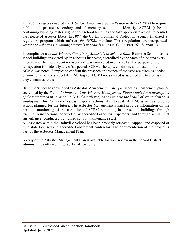In 1986, Congress enacted the *Asbestos Hazard emergency Response Act (AHERA)* to require public and private, secondary and elementary schools to identify ACBM (asbestos containing building materials) in their school buildings and take appropriate actions to control the release of asbestos fibers. In *1987,* the US Environmental Protection Agency finalized a regulatory program which enforces *the AHERA* mandate. These regulations are incorporated within the *Asbestos-Containing Materials in Schools* Rule (40 C.F.R. Part 763, Subpart E).

In compliance *with the Asbestos-Containing Materials in Schools Rule*, Bainville School has its school buildings inspected by an asbestos inspector, accredited by the State of Montana every three years. The most recent re-inspection was completed in June 2018. The purpose of the reinspection is to identify any of suspected ACBM. The type, condition, and location of this ACBM was noted. Samples to confirm the presence or absence of asbestos are taken as needed of some or all of the suspect ACBM. Suspect ACBM not sampled is assumed and treated as if they contain asbestos.

Bainville School has developed an Asbestos Management Plan by an asbestos management planner, accredited by the *State of Montana. The Asbestos Management Plan(s) includes a description of the maintained in condition ACBM that will not pose a threat to the health of our students and employees.* This Plan describes past response actions taken to abate ACBM, as well as response actions planned for the future*.* The Asbestos Management Plan(s) provide information on the periodic monitoring of the condition of ACBM remaining in our school buildings through triennial reinspections, conducted by accredited asbestos inspectors, and through semiannual surveillance, conducted by trained school maintenance staff.

All asbestos within the Bainville School has been properly removed, capped, and disposed of by a state licensed and accredited abatement contractor. The documentation of the project is part of the Asbestos Management Plan.

A copy of the Asbestos Management Plan is available for your review in the School District administrative office during regular office hours.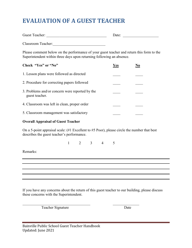# <span id="page-10-0"></span>**EVALUATION OF A GUEST TEACHER**

| Guest Teacher:     | Date: |  |
|--------------------|-------|--|
| Classroom Teacher: |       |  |

Please comment below on the performance of your guest teacher and return this form to the Superintendent within three days upon returning following an absence.

| Check "Yes" or "No"                                               | Yes |  |
|-------------------------------------------------------------------|-----|--|
| 1. Lesson plans were followed as directed                         |     |  |
| 2. Procedure for correcting papers followed                       |     |  |
| 3. Problems and/or concern were reported by the<br>guest teacher. |     |  |
| 4. Classroom was left in clean, proper order                      |     |  |
| 5. Classroom management was satisfactory                          |     |  |

#### **Overall Appraisal of Guest Teacher**

On a 5-point appraisal scale: (#1 Excellent to #5 Poor), please circle the number that best describes the guest teacher's performance.

1 2 3 4 5

and the control of the control of the control of the control of the control of the control of the control of the

Remarks:

If you have any concerns about the return of this guest teacher to our building, please discuss these concerns with the Superintendent.

Teacher Signature Date

 $\mathcal{L}_\text{max}$  , and the contract of the contract of the contract of the contract of the contract of the contract of the contract of the contract of the contract of the contract of the contract of the contract of the contr

| Bainville Public School Guest Teacher Handbook |  |
|------------------------------------------------|--|
| Updated: June 2021                             |  |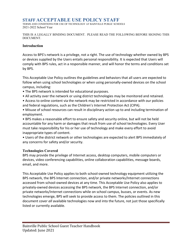### <span id="page-11-0"></span>**STAFF ACCEPTABLE USE POLICY STAFF**

TERMS AND CONDITIONS FOR USE OF TECHNOLOGY AT BAINVILLE PUBLIC SCHOOLS 2021-2022 School Year

THIS IS A LEGALLY BINDING DOCUMENT. PLEASE READ THE FOLLOWING BEFORE SIGNING THIS DOCUMENT.

#### **Introduction**

Access to BPS's network is a privilege, not a right. The use of technology whether owned by BPS or devices supplied by the Users entails personal responsibility. It is expected that Users will comply with BPS rules, act in a responsible manner, and will honor the terms and conditions set by BPS.

This Acceptable Use Policy outlines the guidelines and behaviors that all users are expected to follow when using school technologies or when using personally-owned devices on the school campus, including:

- The BPS network is intended for educational purposes.
- All activity over the network or using district technologies may be monitored and retained.
- Access to online content via the network may be restricted in accordance with our policies and federal regulations, such as the Children's Internet Protection Act (CIPA).
- Misuse of school resources can result in disciplinary action up to and including termination of employment.

• BPS makes a reasonable effort to ensure safety and security online, but will not be held accountable for any harm or damages that result from use of school technologies. Every User must take responsibility for his or her use of technology and make every effort to avoid inappropriate types of content.

• Users of the district network or other technologies are expected to alert BPS immediately of any concerns for safety and/or security.

#### **Technologies Covered**

BPS may provide the privilege of Internet access, desktop computers, mobile computers or devices, video conferencing capabilities, online collaboration capabilities, message boards, email, and more.

This Acceptable Use Policy applies to both school-owned technology equipment utilizing the BPS network, the BPS Internet connection, and/or private networks/Internet connections accessed from school-owned devices at any time. This Acceptable Use Policy also applies to privately-owned devices accessing the BPS network, the BPS Internet connection, and/or private networks/Internet connections while on school campus, busses, or events. As new technologies emerge, BPS will seek to provide access to them. The policies outlined in this document cover *all* available technologies now and into the future, not just those specifically listed or currently available.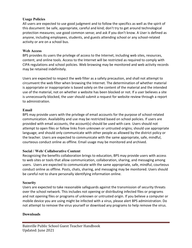#### **Usage Policies**

All users are expected to use good judgment and to follow the specifics as well as the spirit of this document: be safe, appropriate, careful and kind; don't try to get around technological protection measures; use good common sense; and ask if you don't know. A User is defined as anyone, including employees, students, and guests attending school or any school-related activity or are on a school bus.

#### **Web Access**

BPS provides its users the privilege of access to the Internet, including web sites, resources, content, and online tools. Access to the Internet will be restricted as required to comply with CIPA regulations and school policies. Web browsing may be monitored and web activity records may be retained indefinitely.

Users are expected to respect the web filter as a safety precaution, and shall not attempt to circumvent the web filter when browsing the Internet. The determination of whether material is appropriate or inappropriate is based solely on the content of the material and the intended use of the material, not on whether a website has been blocked or not. If a user believes a site is unnecessarily blocked, the user should submit a request for website review through a report to administration.

#### **Email**

BPS may provide users with the privilege of email accounts for the purpose of school-related communication. Availability and use may be restricted based on school policies. If users are provided with email accounts, the account(s) should be used with care. Users should not attempt to open files or follow links from unknown or untrusted origins; should use appropriate language; and should only communicate with other people as allowed by the district policy or the teacher. Users are expected to communicate with the same appropriate, safe, mindful, courteous conduct online as offline. Email usage may be monitored and archived.

#### **Social / Web/ Collaborative Content**

Recognizing the benefits collaboration brings to education, BPS may provide users with access to web sites or tools that allow communication, collaboration, sharing, and messaging among users. Users are expected to communicate with the same appropriate, safe, mindful, courteous conduct online as offline. Posts, chats, sharing, and messaging may be monitored. Users should be careful not to share personally identifying information online.

#### **Security**

Users are expected to take reasonable safeguards against the transmission of security threats over the school network. This includes not opening or distributing infected files or programs and not opening files or programs of unknown or untrusted origin. If you believe a computer or mobile device you are using might be infected with a virus, please alert BPS administration. Do not attempt to remove the virus yourself or download any programs to help remove the virus.

#### **Downloads**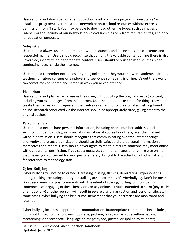Users should not download or attempt to download or run *.exe* programs (executable/or installable programs) over the school network or onto school resources without express permission from IT staff. You may be able to download other file types, such as images of videos. For the security of our network, download such files only from reputable sites, and only for education purposes.

#### **Netiquette**

Users should always use the Internet, network resources, and online sites in a courteous and respectful manner. Users should recognize that among the valuable content online there is also unverified, incorrect, or inappropriate content. Users should only use trusted sources when conducting research via the Internet.

Users should remember not to post anything online that they wouldn't want students, parents, teachers, or future colleges or employers to see. Once something is online, it's out there—and can sometimes be shared and spread in ways you never intended.

#### **Plagiarism**

Users should not plagiarize (or use as their own, without citing the original creator) content, including words or images, from the Internet. Users should not take credit for things they didn't create themselves, or misrepresent themselves as an author or creator of something found online. Research conducted via the Internet should be appropriately cited, giving credit to the original author.

#### **Personal Safety**

Users should never share personal information, including phone number, address, social security number, birthday, or financial information of yourself or others, over the Internet without permission. Users should recognize that communicating over the Internet brings anonymity and associated risks, and should carefully safeguard the personal information of themselves and others. Users should never agree to meet in real life someone they meet online without parental permission. If you see a message, comment, image, or anything else online that makes you concerned for your personal safety, bring it to the attention of administration for reference to technology staff.

#### **Cyber Bullying**

Cyber bullying will not be tolerated. Harassing, dissing, flaming, denigrating, impersonating, outing, tricking, excluding, and cyber stalking are all examples of cyberbullying. Don't be mean. Don't send emails or post comments with the intent of scaring, hurting, or intimidating someone else. Engaging in these behaviors, or any online activities intended to harm (physically or emotionally) another person, will result in severe disciplinary action and loss of privileges. In some cases, cyber bullying can be a crime. Remember that your activities are monitored and retained.

Cyber bullying includes inappropriate communication. Inappropriate communication includes, but is not limited to, the following: obscene, profane, lewd, vulgar, rude, inflammatory, threatening, or disrespectful language or images typed, posted, or spoken by students;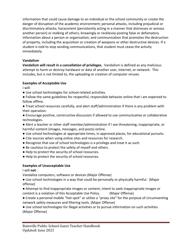information that could cause damage to an individual or the school community or create the danger of disruption of the academic environment; personal attacks, including prejudicial or discriminatory attacks; harassment (persistently acting in a manner that distresses or annoys another person) or stalking of others; knowingly or recklessly posting false or defamatory information about a person or organization; and communication that promotes the destruction of property, including the acquisition or creation of weapons or other destructive devices. If a student is told to stop sending communications, that student must cease the activity immediately.

#### **Vandalism**

**Vandalism will result in a cancellation of privileges.** Vandalism is defined as any malicious attempt to harm or destroy hardware or data of another user, Internet, or network. This includes, but is not limited to, the uploading or creation of computer viruses.

#### **Examples of Acceptable Use**

I will:

- Use school technologies for school-related activities.
- Follow the same guidelines for respectful, responsible behavior online that I am expected to follow offline.
- Treat school resources carefully, and alert staff/administration if there is any problem with their operation.
- Encourage positive, constructive discussion if allowed to use communicative or collaborative technologies.
- Alert a teacher or other staff member/administration if I see threatening, inappropriate, or harmful content (images, messages, and posts) online.
- Use school technologies at appropriate times, in approved places, for educational pursuits.
- Cite sources when using online sites and resources for research.
- Recognize that use of school technologies is a privilege and treat it as such.
- Be cautious to protect the safety of myself and others.
- Help to protect the security of school resources.
- Help to protect the security of school resources.

#### **Examples of Unacceptable Use**

I will **not** :

Vandalize computers, software or devices (Major Offense)

- Use school technologies in a way that could be personally or physically harmful. (Major offense)
- Attempt to find inappropriate images or content; intent to seek inappropriate images or content is a violation of this Acceptable Use Policy. (Major Offense)
- Create a personal mobile "hot-spot" or utilize a "proxy site" for the purpose of circumventing network safety measures and filtering tools. (Major Offense)
- Use school technologies for illegal activities or to pursue information on such activities.
- (Major Offense)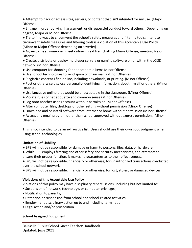● Attempt to hack or access sites, servers, or content that isn't intended for my use. (Major Offense)

● Engage in cyber bullying, harassment, or disrespectful conduct toward others. (Depending on degree, Major or Minor Offense)

● Try to find ways to circumvent the school's safety measures and filtering tools; intent to circumvent safety measures and filtering tools is a violation of this Acceptable Use Policy. (Minor or Major Offense depending on severity)

● Agree to meet someone I meet online in real life. (chatting Minor Offense, meeting Major Offense)

● Create, distribute or deploy multi-user servers or gaming software on or within the JCISD network. (Minor Offense)

- Use computer for shopping for nonacademic items Minor Offense
- Use school technologies to send spam or chain mail. (Minor Offense)
- Plagiarize content I find online, including downloads, or printing. (Minor Offense)
- Post or otherwise disclose personally-identifying information, about myself or others. (Minor Offense)
- Use language online that would be unacceptable in the classroom. (Minor Offense)
- Violate rules of net etiquette and common sense (Minor Offense)
- Log onto another user's account without permission (Minor Offense)
- Alter computer files, desktops or other setting without permission (Minor Offense)
- Download and or install software from internet or home without permission (Minor Offense)

● Access any email program other than school approved without express permission. (Minor Offense)

This is not intended to be an exhaustive list. Users should use their own good judgment when using school technologies.

#### **Limitation of Liability**

- BPS will not be responsible for damage or harm to persons, files, data, or hardware.
- While BPS employs filtering and other safety and security mechanisms, and attempts to ensure their proper function, it makes no guarantees as to their effectiveness.

● BPS will not be responsible, financially or otherwise, for unauthorized transactions conducted over the school network.

● BPS will not be responsible, financially or otherwise, for lost, stolen, or damaged devices.

#### **Violations of this Acceptable Use Policy**

Violations of this policy may have disciplinary repercussions, including but not limited to:

- Suspension of network, technology, or computer privileges;
- Notification to parents;
- Detention or suspension from school and school-related activities;
- Employment disciplinary action up to and including termination.
- Legal action and/or prosecution.

#### **School Assigned Equipment:**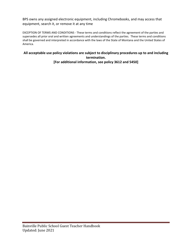BPS owns any assigned electronic equipment, including Chromebooks, and may access that equipment, search it, or remove it at any time

EXCEPTION OF TERMS AND CONDITIONS - These terms and conditions reflect the agreement of the parties and supersedes all prior oral and written agreements and understandings of the parties. These terms and conditions shall be governed and interpreted in accordance with the laws of the State of Montana and the United States of America.

#### **All acceptable use policy violations are subject to disciplinary procedures up to and including termination. [For additional information, see policy 3612 and 5450]**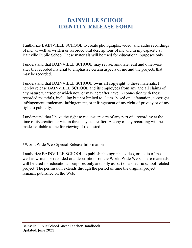# **BAINVILLE SCHOOL IDENTITY RELEASE FORM**

<span id="page-17-1"></span><span id="page-17-0"></span>I authorize BAINVILLE SCHOOL to create photographs, video, and audio recordings of me, as well as written or recorded oral descriptions of me and in my capacity at Bainville Public School These materials will be used for educational purposes only.

I understand that BAINVILLE SCHOOL may revise, annotate, edit and otherwise alter the recorded material to emphasize certain aspects of me and the projects that may be recorded.

I understand that BAINVILLE SCHOOL owns all copyright to these materials. I hereby release BAINVILLE SCHOOL and its employees from any and all claims of any nature whatsoever which now or may hereafter have in connection with these recorded materials, including but not limited to claims based on defamation, copyright infringement, trademark infringement, or infringement of my right of privacy or of my right to publicity.

I understand that I have the right to request erasure of any part of a recording at the time of its creation or within three days thereafter. A copy of any recording will be made available to me for viewing if requested.

\*World Wide Web Special Release Information

I authorize BAINVILLE SCHOOL to publish photographs, video, or audio of me, as well as written or recorded oral descriptions on the World Wide Web. These materials will be used for educational purposes only and only as part of a specific school-related project. The permission extends through the period of time the original project remains published on the Web.